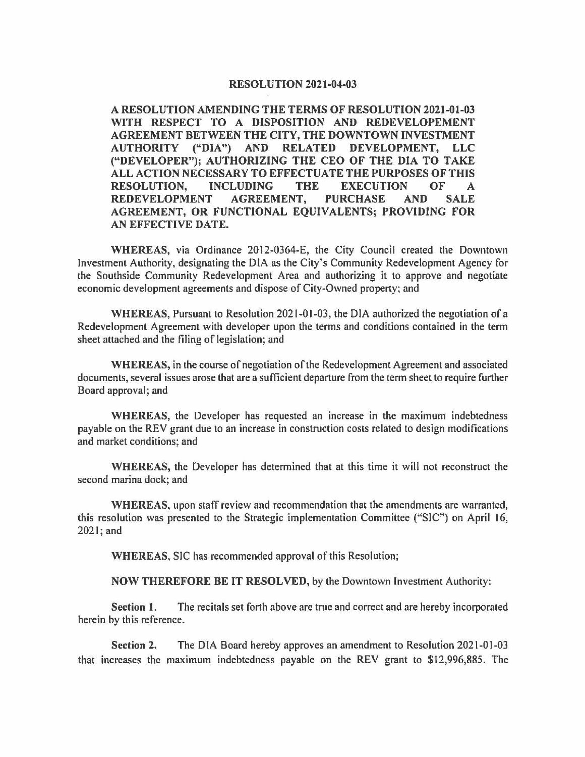## **RESOLUTION 2021-04-03**

**A RESOLUTION AMENDING THE TERMS OF RESOLUTION 2021-01-03 WITH RESPECT TO A DISPOSITION AND REDEVELOPEMENT AGREEMENT BETWEEN THE CITY, THE DOWNTOWN INVESTMENT AUTHORITY ("DIA") AND RELATED DEVELOPMENT, LLC ("DEVELOPER"); AUTHORIZING THE CEO OF THE DIA TO TAKE ALL ACTION NECESSARY TO EFFECTUATE THE PURPOSES OF THIS RESOLUTION, INCLUDING THE EXECUTION OF A REDEVELOPMENT AGREEMENT, PURCHASE AND SALE AGREEMENT, OR FUNCTIONAL EQUIVALENTS; PROVIDING FOR AN EFFECTIVE DATE.** 

**WHEREAS,** via Ordinance 2012-0364-E, the City Council created the Downtown Investment Authority, designating the DIA as the City's Community Redevelopment Agency for the Southside Community Redevelopment Area and authorizing it to approve and negotiate economic development agreements and dispose of City-Owned property; and

**WHEREAS,** Pursuant to Resolution 2021-01-03, the DIA authorized the negotiation of a Redevelopment Agreement with developer upon the terms and conditions contained in the term sheet attached and the filing of legislation; and

**WHEREAS,** in the course of negotiation of the Redevelopment Agreement and associated documents, several issues arose that are a sufficient departure from the term sheet to require further Board approval; and

**WHEREAS,** the Developer has requested an increase in the maximum indebtedness payable on the REV grant due to an increase in construction costs related to design modifications and market conditions; and

**WHEREAS,** the Developer has determined that at this time it will not reconstruct the second marina dock; and

**WHEREAS,** upon staff review and recommendation that the amendments are warranted, this resolution was presented to the Strategic implementation Committee ("SIC") on April 16, 2021; and

**WHEREAS,** SIC has recommended approval of this Resolution;

**NOW THEREFORE BE IT RESOLVED,** by the Downtown Investment Authority:

**Section** I. The recitals set forth above are true and correct and are hereby incorporated herein by this reference.

**Section 2.** The DIA Board hereby approves an amendment to Resolution 2021-01-03 that increases the maximum indebtedness payable on the REV grant to \$12,996,885. The